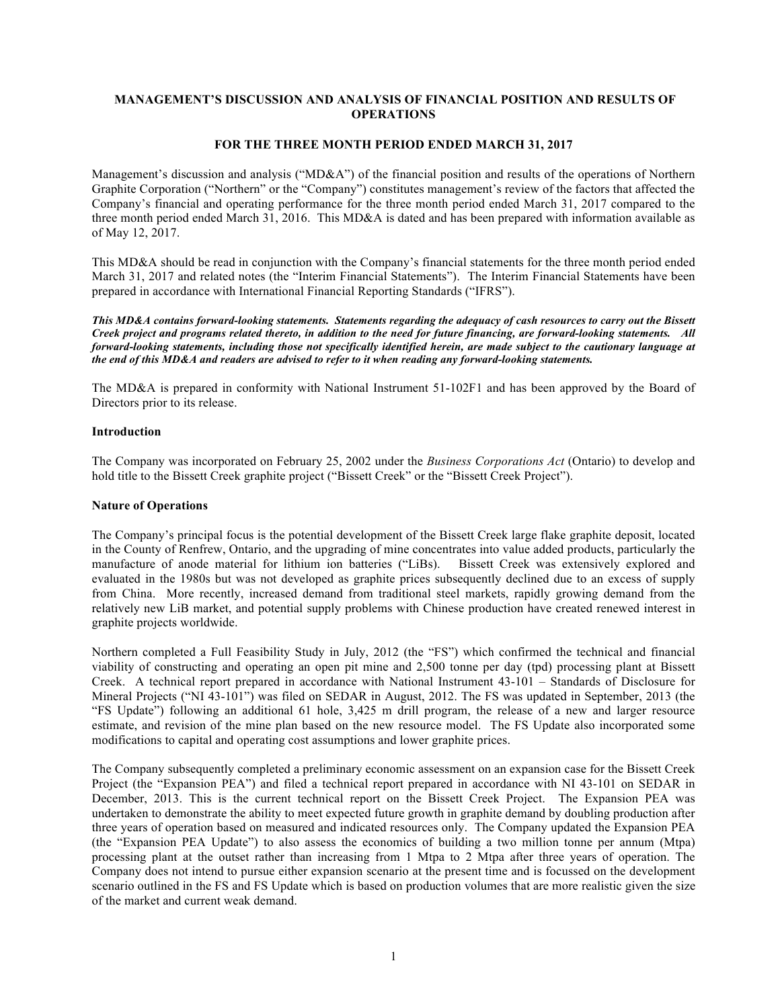### **MANAGEMENT'S DISCUSSION AND ANALYSIS OF FINANCIAL POSITION AND RESULTS OF OPERATIONS**

### **FOR THE THREE MONTH PERIOD ENDED MARCH 31, 2017**

Management's discussion and analysis ("MD&A") of the financial position and results of the operations of Northern Graphite Corporation ("Northern" or the "Company") constitutes management's review of the factors that affected the Company's financial and operating performance for the three month period ended March 31, 2017 compared to the three month period ended March 31, 2016. This MD&A is dated and has been prepared with information available as of May 12, 2017.

This MD&A should be read in conjunction with the Company's financial statements for the three month period ended March 31, 2017 and related notes (the "Interim Financial Statements"). The Interim Financial Statements have been prepared in accordance with International Financial Reporting Standards ("IFRS").

*This MD&A contains forward-looking statements. Statements regarding the adequacy of cash resources to carry out the Bissett Creek project and programs related thereto, in addition to the need for future financing, are forward-looking statements. All forward-looking statements, including those not specifically identified herein, are made subject to the cautionary language at the end of this MD&A and readers are advised to refer to it when reading any forward-looking statements.*

The MD&A is prepared in conformity with National Instrument 51-102F1 and has been approved by the Board of Directors prior to its release.

### **Introduction**

The Company was incorporated on February 25, 2002 under the *Business Corporations Act* (Ontario) to develop and hold title to the Bissett Creek graphite project ("Bissett Creek" or the "Bissett Creek Project").

### **Nature of Operations**

The Company's principal focus is the potential development of the Bissett Creek large flake graphite deposit, located in the County of Renfrew, Ontario, and the upgrading of mine concentrates into value added products, particularly the manufacture of anode material for lithium ion batteries ("LiBs). Bissett Creek was extensively explored and evaluated in the 1980s but was not developed as graphite prices subsequently declined due to an excess of supply from China. More recently, increased demand from traditional steel markets, rapidly growing demand from the relatively new LiB market, and potential supply problems with Chinese production have created renewed interest in graphite projects worldwide.

Northern completed a Full Feasibility Study in July, 2012 (the "FS") which confirmed the technical and financial viability of constructing and operating an open pit mine and 2,500 tonne per day (tpd) processing plant at Bissett Creek. A technical report prepared in accordance with National Instrument 43-101 – Standards of Disclosure for Mineral Projects ("NI 43-101") was filed on SEDAR in August, 2012. The FS was updated in September, 2013 (the "FS Update") following an additional 61 hole, 3,425 m drill program, the release of a new and larger resource estimate, and revision of the mine plan based on the new resource model. The FS Update also incorporated some modifications to capital and operating cost assumptions and lower graphite prices.

The Company subsequently completed a preliminary economic assessment on an expansion case for the Bissett Creek Project (the "Expansion PEA") and filed a technical report prepared in accordance with NI 43-101 on SEDAR in December, 2013. This is the current technical report on the Bissett Creek Project. The Expansion PEA was undertaken to demonstrate the ability to meet expected future growth in graphite demand by doubling production after three years of operation based on measured and indicated resources only. The Company updated the Expansion PEA (the "Expansion PEA Update") to also assess the economics of building a two million tonne per annum (Mtpa) processing plant at the outset rather than increasing from 1 Mtpa to 2 Mtpa after three years of operation. The Company does not intend to pursue either expansion scenario at the present time and is focussed on the development scenario outlined in the FS and FS Update which is based on production volumes that are more realistic given the size of the market and current weak demand.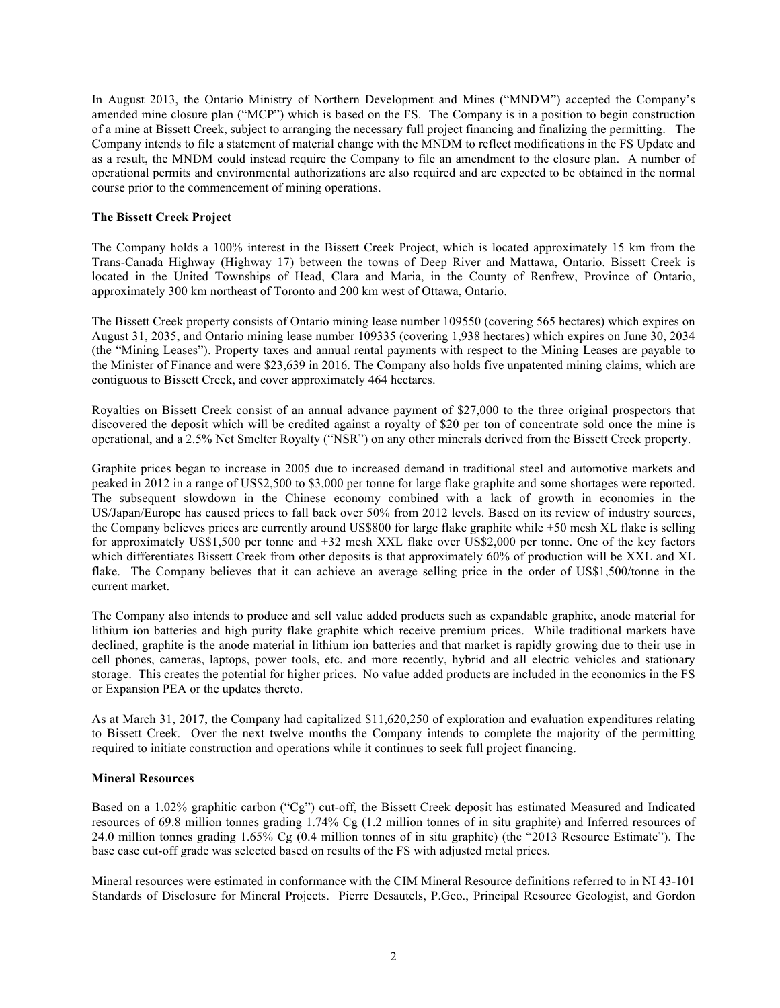In August 2013, the Ontario Ministry of Northern Development and Mines ("MNDM") accepted the Company's amended mine closure plan ("MCP") which is based on the FS. The Company is in a position to begin construction of a mine at Bissett Creek, subject to arranging the necessary full project financing and finalizing the permitting. The Company intends to file a statement of material change with the MNDM to reflect modifications in the FS Update and as a result, the MNDM could instead require the Company to file an amendment to the closure plan. A number of operational permits and environmental authorizations are also required and are expected to be obtained in the normal course prior to the commencement of mining operations.

### **The Bissett Creek Project**

The Company holds a 100% interest in the Bissett Creek Project, which is located approximately 15 km from the Trans-Canada Highway (Highway 17) between the towns of Deep River and Mattawa, Ontario. Bissett Creek is located in the United Townships of Head, Clara and Maria, in the County of Renfrew, Province of Ontario, approximately 300 km northeast of Toronto and 200 km west of Ottawa, Ontario.

The Bissett Creek property consists of Ontario mining lease number 109550 (covering 565 hectares) which expires on August 31, 2035, and Ontario mining lease number 109335 (covering 1,938 hectares) which expires on June 30, 2034 (the "Mining Leases"). Property taxes and annual rental payments with respect to the Mining Leases are payable to the Minister of Finance and were \$23,639 in 2016. The Company also holds five unpatented mining claims, which are contiguous to Bissett Creek, and cover approximately 464 hectares.

Royalties on Bissett Creek consist of an annual advance payment of \$27,000 to the three original prospectors that discovered the deposit which will be credited against a royalty of \$20 per ton of concentrate sold once the mine is operational, and a 2.5% Net Smelter Royalty ("NSR") on any other minerals derived from the Bissett Creek property.

Graphite prices began to increase in 2005 due to increased demand in traditional steel and automotive markets and peaked in 2012 in a range of US\$2,500 to \$3,000 per tonne for large flake graphite and some shortages were reported. The subsequent slowdown in the Chinese economy combined with a lack of growth in economies in the US/Japan/Europe has caused prices to fall back over 50% from 2012 levels. Based on its review of industry sources, the Company believes prices are currently around US\$800 for large flake graphite while +50 mesh XL flake is selling for approximately US\$1,500 per tonne and +32 mesh XXL flake over US\$2,000 per tonne. One of the key factors which differentiates Bissett Creek from other deposits is that approximately 60% of production will be XXL and XL flake. The Company believes that it can achieve an average selling price in the order of US\$1,500/tonne in the current market.

The Company also intends to produce and sell value added products such as expandable graphite, anode material for lithium ion batteries and high purity flake graphite which receive premium prices. While traditional markets have declined, graphite is the anode material in lithium ion batteries and that market is rapidly growing due to their use in cell phones, cameras, laptops, power tools, etc. and more recently, hybrid and all electric vehicles and stationary storage. This creates the potential for higher prices. No value added products are included in the economics in the FS or Expansion PEA or the updates thereto.

As at March 31, 2017, the Company had capitalized \$11,620,250 of exploration and evaluation expenditures relating to Bissett Creek. Over the next twelve months the Company intends to complete the majority of the permitting required to initiate construction and operations while it continues to seek full project financing.

### **Mineral Resources**

Based on a 1.02% graphitic carbon ("Cg") cut-off, the Bissett Creek deposit has estimated Measured and Indicated resources of 69.8 million tonnes grading 1.74% Cg (1.2 million tonnes of in situ graphite) and Inferred resources of 24.0 million tonnes grading 1.65% Cg (0.4 million tonnes of in situ graphite) (the "2013 Resource Estimate"). The base case cut-off grade was selected based on results of the FS with adjusted metal prices.

Mineral resources were estimated in conformance with the CIM Mineral Resource definitions referred to in NI 43-101 Standards of Disclosure for Mineral Projects. Pierre Desautels, P.Geo., Principal Resource Geologist, and Gordon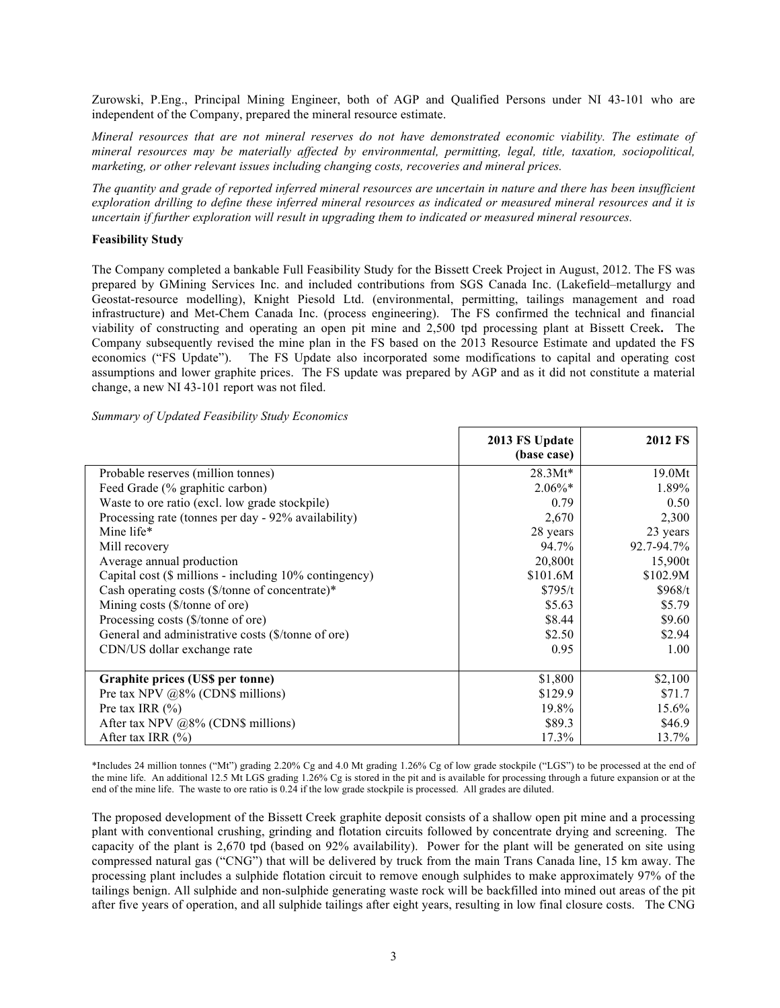Zurowski, P.Eng., Principal Mining Engineer, both of AGP and Qualified Persons under NI 43-101 who are independent of the Company, prepared the mineral resource estimate.

*Mineral resources that are not mineral reserves do not have demonstrated economic viability. The estimate of mineral resources may be materially affected by environmental, permitting, legal, title, taxation, sociopolitical, marketing, or other relevant issues including changing costs, recoveries and mineral prices.*

*The quantity and grade of reported inferred mineral resources are uncertain in nature and there has been insufficient exploration drilling to define these inferred mineral resources as indicated or measured mineral resources and it is uncertain if further exploration will result in upgrading them to indicated or measured mineral resources.*

## **Feasibility Study**

The Company completed a bankable Full Feasibility Study for the Bissett Creek Project in August, 2012. The FS was prepared by GMining Services Inc. and included contributions from SGS Canada Inc. (Lakefield–metallurgy and Geostat-resource modelling), Knight Piesold Ltd. (environmental, permitting, tailings management and road infrastructure) and Met-Chem Canada Inc. (process engineering). The FS confirmed the technical and financial viability of constructing and operating an open pit mine and 2,500 tpd processing plant at Bissett Creek**.** The Company subsequently revised the mine plan in the FS based on the 2013 Resource Estimate and updated the FS economics ("FS Update"). The FS Update also incorporated some modifications to capital and operating cost assumptions and lower graphite prices. The FS update was prepared by AGP and as it did not constitute a material change, a new NI 43-101 report was not filed.

| Summary of Updated Feasibility Study Economics |  |  |  |  |
|------------------------------------------------|--|--|--|--|
|------------------------------------------------|--|--|--|--|

|                                                             | 2013 FS Update | <b>2012 FS</b> |
|-------------------------------------------------------------|----------------|----------------|
|                                                             | (base case)    |                |
| Probable reserves (million tonnes)                          | $28.3Mt*$      | 19.0Mt         |
| Feed Grade (% graphitic carbon)                             | $2.06\%*$      | 1.89%          |
| Waste to ore ratio (excl. low grade stockpile)              | 0.79           | 0.50           |
| Processing rate (tonnes per day - 92% availability)         | 2,670          | 2,300          |
| Mine life*                                                  | 28 years       | 23 years       |
| Mill recovery                                               | 94.7%          | 92.7-94.7%     |
| Average annual production                                   | 20,800t        | 15,900t        |
| Capital cost (\$ millions - including 10% contingency)      | \$101.6M       | \$102.9M       |
| Cash operating costs $(\frac{1}{2})$ tonne of concentrate)* | \$795/t        | \$968/t        |
| Mining costs (\$/tonne of ore)                              | \$5.63         | \$5.79         |
| Processing costs (\$/tonne of ore)                          | \$8.44         | \$9.60         |
| General and administrative costs (\$/tonne of ore)          | \$2.50         | \$2.94         |
| CDN/US dollar exchange rate                                 | 0.95           | 1.00           |
| Graphite prices (US\$ per tonne)                            | \$1,800        | \$2,100        |
| Pre tax NPV $@8\%$ (CDN\$ millions)                         | \$129.9        | \$71.7         |
| Pre tax IRR $(\% )$                                         | 19.8%          | 15.6%          |
| After tax NPV $@8\%$ (CDN\$ millions)                       | \$89.3         | \$46.9         |
| After tax IRR $(\% )$                                       | 17.3%          | 13.7%          |

\*Includes 24 million tonnes ("Mt") grading 2.20% Cg and 4.0 Mt grading 1.26% Cg of low grade stockpile ("LGS") to be processed at the end of the mine life. An additional 12.5 Mt LGS grading 1.26% Cg is stored in the pit and is available for processing through a future expansion or at the end of the mine life. The waste to ore ratio is 0.24 if the low grade stockpile is processed. All grades are diluted.

The proposed development of the Bissett Creek graphite deposit consists of a shallow open pit mine and a processing plant with conventional crushing, grinding and flotation circuits followed by concentrate drying and screening. The capacity of the plant is 2,670 tpd (based on 92% availability). Power for the plant will be generated on site using compressed natural gas ("CNG") that will be delivered by truck from the main Trans Canada line, 15 km away. The processing plant includes a sulphide flotation circuit to remove enough sulphides to make approximately 97% of the tailings benign. All sulphide and non-sulphide generating waste rock will be backfilled into mined out areas of the pit after five years of operation, and all sulphide tailings after eight years, resulting in low final closure costs. The CNG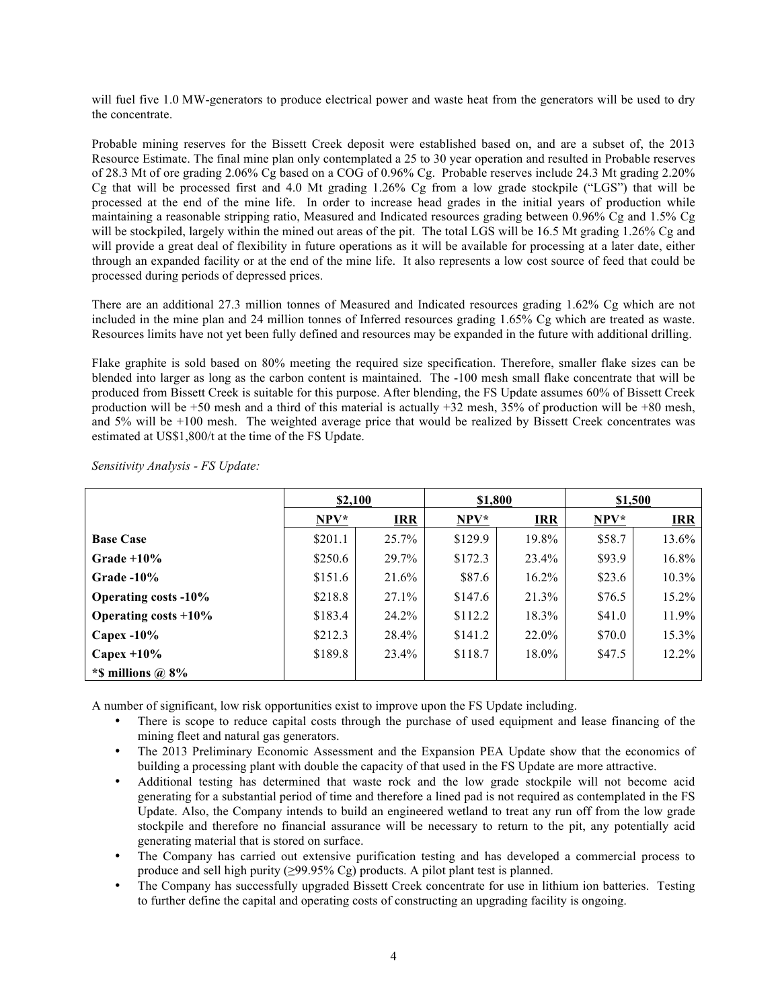will fuel five 1.0 MW-generators to produce electrical power and waste heat from the generators will be used to dry the concentrate.

Probable mining reserves for the Bissett Creek deposit were established based on, and are a subset of, the 2013 Resource Estimate. The final mine plan only contemplated a 25 to 30 year operation and resulted in Probable reserves of 28.3 Mt of ore grading 2.06% Cg based on a COG of 0.96% Cg. Probable reserves include 24.3 Mt grading 2.20% Cg that will be processed first and 4.0 Mt grading 1.26% Cg from a low grade stockpile ("LGS") that will be processed at the end of the mine life. In order to increase head grades in the initial years of production while maintaining a reasonable stripping ratio, Measured and Indicated resources grading between 0.96% Cg and 1.5% Cg will be stockpiled, largely within the mined out areas of the pit. The total LGS will be 16.5 Mt grading 1.26% Cg and will provide a great deal of flexibility in future operations as it will be available for processing at a later date, either through an expanded facility or at the end of the mine life. It also represents a low cost source of feed that could be processed during periods of depressed prices.

There are an additional 27.3 million tonnes of Measured and Indicated resources grading 1.62% Cg which are not included in the mine plan and 24 million tonnes of Inferred resources grading 1.65% Cg which are treated as waste. Resources limits have not yet been fully defined and resources may be expanded in the future with additional drilling.

Flake graphite is sold based on 80% meeting the required size specification. Therefore, smaller flake sizes can be blended into larger as long as the carbon content is maintained. The -100 mesh small flake concentrate that will be produced from Bissett Creek is suitable for this purpose. After blending, the FS Update assumes 60% of Bissett Creek production will be +50 mesh and a third of this material is actually +32 mesh, 35% of production will be +80 mesh, and 5% will be +100 mesh. The weighted average price that would be realized by Bissett Creek concentrates was estimated at US\$1,800/t at the time of the FS Update.

|                             | \$2,100 |            | \$1,800 |            | \$1,500 |            |
|-----------------------------|---------|------------|---------|------------|---------|------------|
|                             | $NPV^*$ | <b>IRR</b> | $NPV*$  | <b>IRR</b> | $NPV*$  | <b>IRR</b> |
| <b>Base Case</b>            | \$201.1 | 25.7%      | \$129.9 | 19.8%      | \$58.7  | 13.6%      |
| Grade $+10\%$               | \$250.6 | 29.7%      | \$172.3 | 23.4%      | \$93.9  | 16.8%      |
| Grade $-10\%$               | \$151.6 | 21.6%      | \$87.6  | $16.2\%$   | \$23.6  | $10.3\%$   |
| <b>Operating costs -10%</b> | \$218.8 | 27.1%      | \$147.6 | 21.3%      | \$76.5  | 15.2%      |
| Operating costs $+10\%$     | \$183.4 | 24.2%      | \$112.2 | 18.3%      | \$41.0  | 11.9%      |
| Capex $-10\%$               | \$212.3 | 28.4%      | \$141.2 | 22.0%      | \$70.0  | 15.3%      |
| Capex $+10\%$               | \$189.8 | 23.4%      | \$118.7 | $18.0\%$   | \$47.5  | 12.2%      |
| *\$ millions $\omega$ 8%    |         |            |         |            |         |            |

*Sensitivity Analysis - FS Update:*

A number of significant, low risk opportunities exist to improve upon the FS Update including.

- There is scope to reduce capital costs through the purchase of used equipment and lease financing of the mining fleet and natural gas generators.
- The 2013 Preliminary Economic Assessment and the Expansion PEA Update show that the economics of building a processing plant with double the capacity of that used in the FS Update are more attractive.
- Additional testing has determined that waste rock and the low grade stockpile will not become acid generating for a substantial period of time and therefore a lined pad is not required as contemplated in the FS Update. Also, the Company intends to build an engineered wetland to treat any run off from the low grade stockpile and therefore no financial assurance will be necessary to return to the pit, any potentially acid generating material that is stored on surface.
- The Company has carried out extensive purification testing and has developed a commercial process to produce and sell high purity  $(≥99.95\% \text{ Cg})$  products. A pilot plant test is planned.
- The Company has successfully upgraded Bissett Creek concentrate for use in lithium ion batteries. Testing to further define the capital and operating costs of constructing an upgrading facility is ongoing.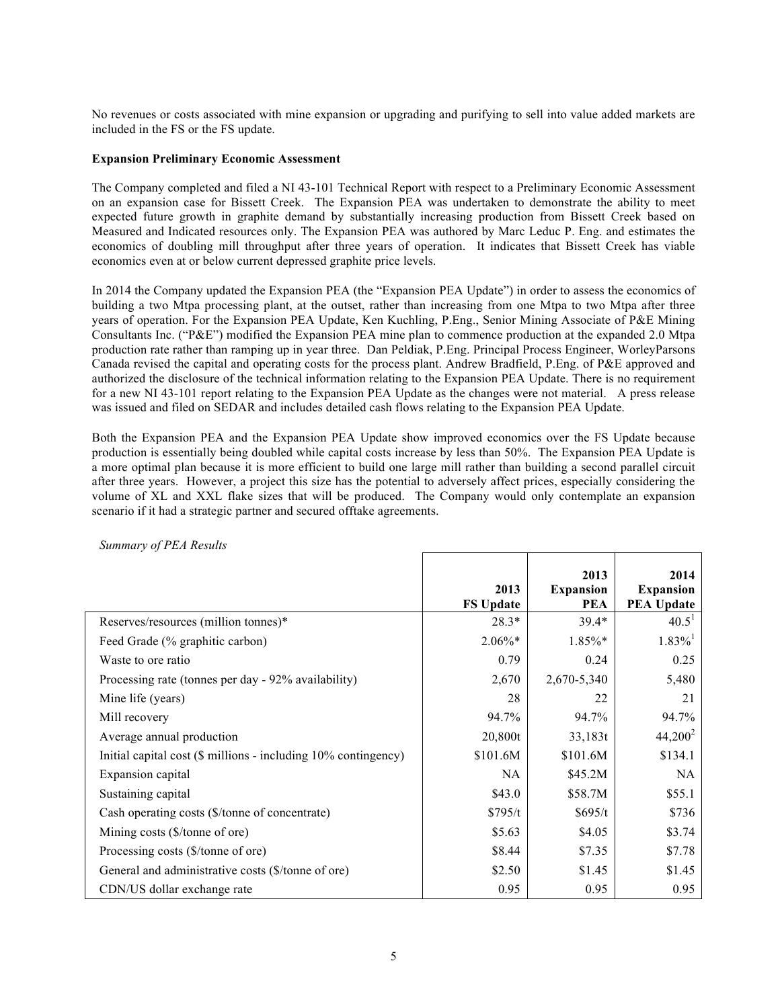No revenues or costs associated with mine expansion or upgrading and purifying to sell into value added markets are included in the FS or the FS update.

### **Expansion Preliminary Economic Assessment**

The Company completed and filed a NI 43-101 Technical Report with respect to a Preliminary Economic Assessment on an expansion case for Bissett Creek. The Expansion PEA was undertaken to demonstrate the ability to meet expected future growth in graphite demand by substantially increasing production from Bissett Creek based on Measured and Indicated resources only. The Expansion PEA was authored by Marc Leduc P. Eng. and estimates the economics of doubling mill throughput after three years of operation. It indicates that Bissett Creek has viable economics even at or below current depressed graphite price levels.

In 2014 the Company updated the Expansion PEA (the "Expansion PEA Update") in order to assess the economics of building a two Mtpa processing plant, at the outset, rather than increasing from one Mtpa to two Mtpa after three years of operation. For the Expansion PEA Update, Ken Kuchling, P.Eng., Senior Mining Associate of P&E Mining Consultants Inc. ("P&E") modified the Expansion PEA mine plan to commence production at the expanded 2.0 Mtpa production rate rather than ramping up in year three. Dan Peldiak, P.Eng. Principal Process Engineer, WorleyParsons Canada revised the capital and operating costs for the process plant. Andrew Bradfield, P.Eng. of P&E approved and authorized the disclosure of the technical information relating to the Expansion PEA Update. There is no requirement for a new NI 43-101 report relating to the Expansion PEA Update as the changes were not material. A press release was issued and filed on SEDAR and includes detailed cash flows relating to the Expansion PEA Update.

Both the Expansion PEA and the Expansion PEA Update show improved economics over the FS Update because production is essentially being doubled while capital costs increase by less than 50%. The Expansion PEA Update is a more optimal plan because it is more efficient to build one large mill rather than building a second parallel circuit after three years. However, a project this size has the potential to adversely affect prices, especially considering the volume of XL and XXL flake sizes that will be produced. The Company would only contemplate an expansion scenario if it had a strategic partner and secured offtake agreements.

|                                                                | 2013<br><b>FS Update</b> | 2013<br><b>Expansion</b><br><b>PEA</b> | 2014<br><b>Expansion</b><br><b>PEA Update</b> |
|----------------------------------------------------------------|--------------------------|----------------------------------------|-----------------------------------------------|
| Reserves/resources (million tonnes)*                           | $28.3*$                  | $39.4*$                                | $40.5^1$                                      |
| Feed Grade (% graphitic carbon)                                | $2.06\%*$                | 1.85%*                                 | $1.83\%$ <sup>1</sup>                         |
| Waste to ore ratio                                             | 0.79                     | 0.24                                   | 0.25                                          |
| Processing rate (tonnes per day - 92% availability)            | 2,670                    | 2,670-5,340                            | 5,480                                         |
| Mine life (years)                                              | 28                       | 22                                     | 21                                            |
| Mill recovery                                                  | 94.7%                    | 94.7%                                  | 94.7%                                         |
| Average annual production                                      | 20,800t                  | 33,183t                                | $44,200^2$                                    |
| Initial capital cost (\$ millions - including 10% contingency) | \$101.6M                 | \$101.6M                               | \$134.1                                       |
| Expansion capital                                              | NA                       | \$45.2M                                | NA                                            |
| Sustaining capital                                             | \$43.0                   | \$58.7M                                | \$55.1                                        |
| Cash operating costs (\$/tonne of concentrate)                 | \$795/t                  | \$695/t                                | \$736                                         |
| Mining costs (\$/tonne of ore)                                 | \$5.63                   | \$4.05                                 | \$3.74                                        |
| Processing costs (\$/tonne of ore)                             | \$8.44                   | \$7.35                                 | \$7.78                                        |
| General and administrative costs (\$/tonne of ore)             | \$2.50                   | \$1.45                                 | \$1.45                                        |
| CDN/US dollar exchange rate                                    | 0.95                     | 0.95                                   | 0.95                                          |

### *Summary of PEA Results*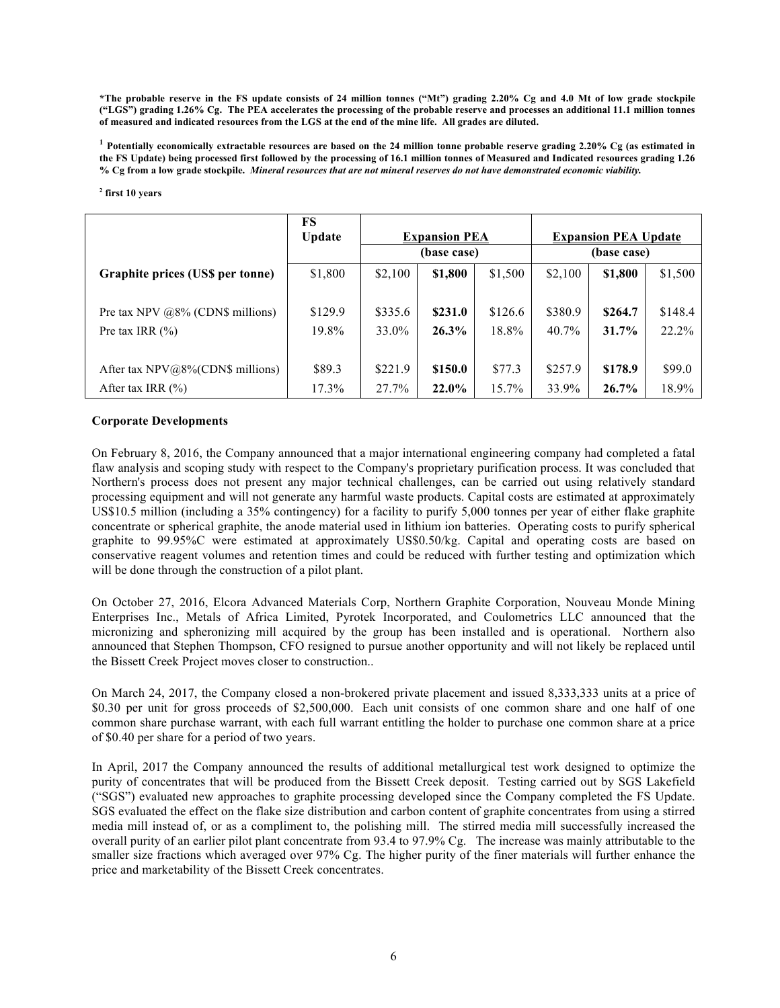**\*The probable reserve in the FS update consists of 24 million tonnes ("Mt") grading 2.20% Cg and 4.0 Mt of low grade stockpile ("LGS") grading 1.26% Cg. The PEA accelerates the processing of the probable reserve and processes an additional 11.1 million tonnes of measured and indicated resources from the LGS at the end of the mine life. All grades are diluted.**

**<sup>1</sup> Potentially economically extractable resources are based on the 24 million tonne probable reserve grading 2.20% Cg (as estimated in the FS Update) being processed first followed by the processing of 16.1 million tonnes of Measured and Indicated resources grading 1.26 % Cg from a low grade stockpile.** *Mineral resources that are not mineral reserves do not have demonstrated economic viability.* 

#### **<sup>2</sup> first 10 years**

|                                      | FS<br><b>Update</b> | <b>Expansion PEA</b><br>(base case) |         | <b>Expansion PEA Update</b><br>(base case) |         |         |         |
|--------------------------------------|---------------------|-------------------------------------|---------|--------------------------------------------|---------|---------|---------|
| Graphite prices (US\$ per tonne)     | \$1,800             | \$2,100                             | \$1,800 | \$1,500                                    | \$2,100 | \$1,800 | \$1,500 |
| Pre tax NPV $@8\%$ (CDN\$ millions)  | \$129.9             | \$335.6                             | \$231.0 | \$126.6                                    | \$380.9 | \$264.7 | \$148.4 |
| Pre tax IRR $(\% )$                  | 19.8%               | 33.0%                               | 26.3%   | 18.8%                                      | 40.7%   | 31.7%   | 22.2%   |
| After tax $NPV@8\%$ (CDN\$ millions) | \$89.3              | \$221.9                             | \$150.0 | \$77.3                                     | \$257.9 | \$178.9 | \$99.0  |
| After tax IRR $(\% )$                | 17.3%               | 27.7%                               | 22.0%   | $15.7\%$                                   | 33.9%   | 26.7%   | 18.9%   |

### **Corporate Developments**

On February 8, 2016, the Company announced that a major international engineering company had completed a fatal flaw analysis and scoping study with respect to the Company's proprietary purification process. It was concluded that Northern's process does not present any major technical challenges, can be carried out using relatively standard processing equipment and will not generate any harmful waste products. Capital costs are estimated at approximately US\$10.5 million (including a 35% contingency) for a facility to purify 5,000 tonnes per year of either flake graphite concentrate or spherical graphite, the anode material used in lithium ion batteries. Operating costs to purify spherical graphite to 99.95%C were estimated at approximately US\$0.50/kg. Capital and operating costs are based on conservative reagent volumes and retention times and could be reduced with further testing and optimization which will be done through the construction of a pilot plant.

On October 27, 2016, Elcora Advanced Materials Corp, Northern Graphite Corporation, Nouveau Monde Mining Enterprises Inc., Metals of Africa Limited, Pyrotek Incorporated, and Coulometrics LLC announced that the micronizing and spheronizing mill acquired by the group has been installed and is operational. Northern also announced that Stephen Thompson, CFO resigned to pursue another opportunity and will not likely be replaced until the Bissett Creek Project moves closer to construction..

On March 24, 2017, the Company closed a non-brokered private placement and issued 8,333,333 units at a price of \$0.30 per unit for gross proceeds of \$2,500,000. Each unit consists of one common share and one half of one common share purchase warrant, with each full warrant entitling the holder to purchase one common share at a price of \$0.40 per share for a period of two years.

In April, 2017 the Company announced the results of additional metallurgical test work designed to optimize the purity of concentrates that will be produced from the Bissett Creek deposit. Testing carried out by SGS Lakefield ("SGS") evaluated new approaches to graphite processing developed since the Company completed the FS Update. SGS evaluated the effect on the flake size distribution and carbon content of graphite concentrates from using a stirred media mill instead of, or as a compliment to, the polishing mill. The stirred media mill successfully increased the overall purity of an earlier pilot plant concentrate from 93.4 to 97.9% Cg. The increase was mainly attributable to the smaller size fractions which averaged over 97% Cg. The higher purity of the finer materials will further enhance the price and marketability of the Bissett Creek concentrates.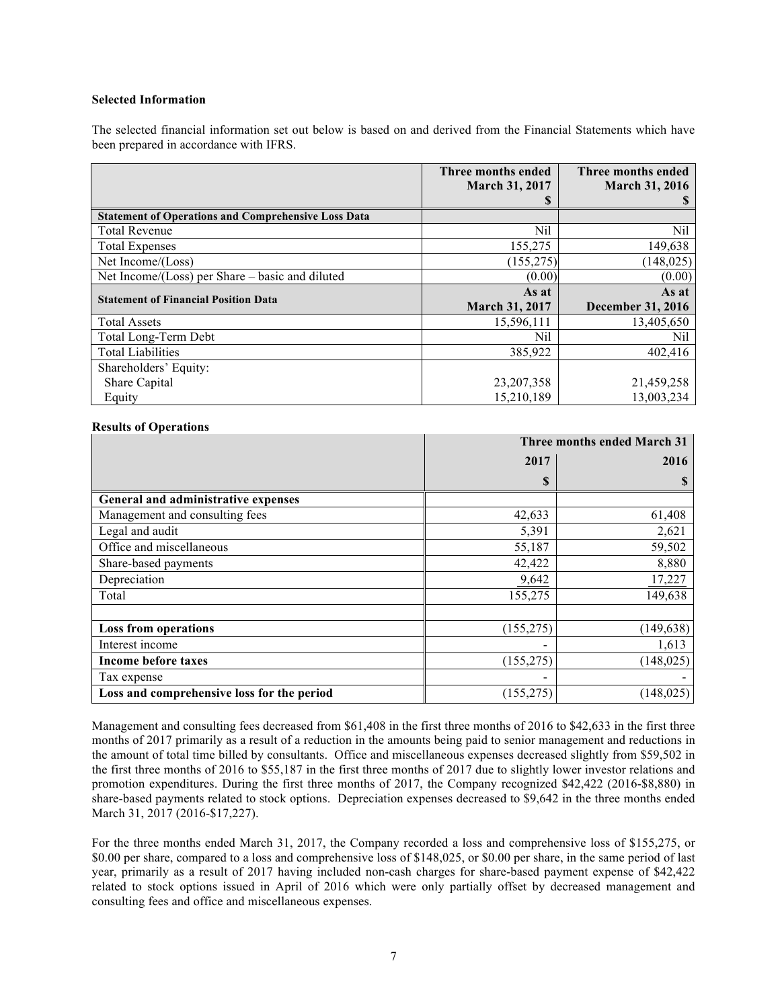### **Selected Information**

The selected financial information set out below is based on and derived from the Financial Statements which have been prepared in accordance with IFRS.

|                                                            | Three months ended<br><b>March 31, 2017</b> | Three months ended<br><b>March 31, 2016</b> |
|------------------------------------------------------------|---------------------------------------------|---------------------------------------------|
|                                                            | S                                           |                                             |
| <b>Statement of Operations and Comprehensive Loss Data</b> |                                             |                                             |
| <b>Total Revenue</b>                                       | Nil                                         | Nil                                         |
| <b>Total Expenses</b>                                      | 155,275                                     | 149,638                                     |
| Net Income/(Loss)                                          | (155, 275)                                  | (148, 025)                                  |
| Net Income/(Loss) per Share – basic and diluted            | (0.00)                                      | (0.00)                                      |
| <b>Statement of Financial Position Data</b>                | As at                                       | As at                                       |
|                                                            | <b>March 31, 2017</b>                       | <b>December 31, 2016</b>                    |
| <b>Total Assets</b>                                        | 15,596,111                                  | 13,405,650                                  |
| Total Long-Term Debt                                       | Nil                                         | Nil                                         |
| <b>Total Liabilities</b>                                   | 385,922                                     | 402,416                                     |
| Shareholders' Equity:                                      |                                             |                                             |
| Share Capital                                              | 23, 207, 358                                | 21,459,258                                  |
| Equity                                                     | 15,210,189                                  | 13,003,234                                  |

## **Results of Operations**

|                                            |                          | Three months ended March 31 |
|--------------------------------------------|--------------------------|-----------------------------|
|                                            | 2017                     | 2016                        |
|                                            | \$                       | S                           |
| General and administrative expenses        |                          |                             |
| Management and consulting fees             | 42,633                   | 61,408                      |
| Legal and audit                            | 5,391                    | 2,621                       |
| Office and miscellaneous                   | 55,187                   | 59,502                      |
| Share-based payments                       | 42,422                   | 8,880                       |
| Depreciation                               | 9,642                    | 17,227                      |
| Total                                      | 155,275                  | 149,638                     |
|                                            |                          |                             |
| <b>Loss from operations</b>                | (155, 275)               | (149, 638)                  |
| Interest income                            | $\overline{\phantom{0}}$ | 1,613                       |
| <b>Income before taxes</b>                 | (155, 275)               | (148, 025)                  |
| Tax expense                                | $\overline{\phantom{a}}$ |                             |
| Loss and comprehensive loss for the period | (155, 275)               | (148, 025)                  |

Management and consulting fees decreased from \$61,408 in the first three months of 2016 to \$42,633 in the first three months of 2017 primarily as a result of a reduction in the amounts being paid to senior management and reductions in the amount of total time billed by consultants. Office and miscellaneous expenses decreased slightly from \$59,502 in the first three months of 2016 to \$55,187 in the first three months of 2017 due to slightly lower investor relations and promotion expenditures. During the first three months of 2017, the Company recognized \$42,422 (2016-\$8,880) in share-based payments related to stock options. Depreciation expenses decreased to \$9,642 in the three months ended March 31, 2017 (2016-\$17,227).

For the three months ended March 31, 2017, the Company recorded a loss and comprehensive loss of \$155,275, or \$0.00 per share, compared to a loss and comprehensive loss of \$148,025, or \$0.00 per share, in the same period of last year, primarily as a result of 2017 having included non-cash charges for share-based payment expense of \$42,422 related to stock options issued in April of 2016 which were only partially offset by decreased management and consulting fees and office and miscellaneous expenses.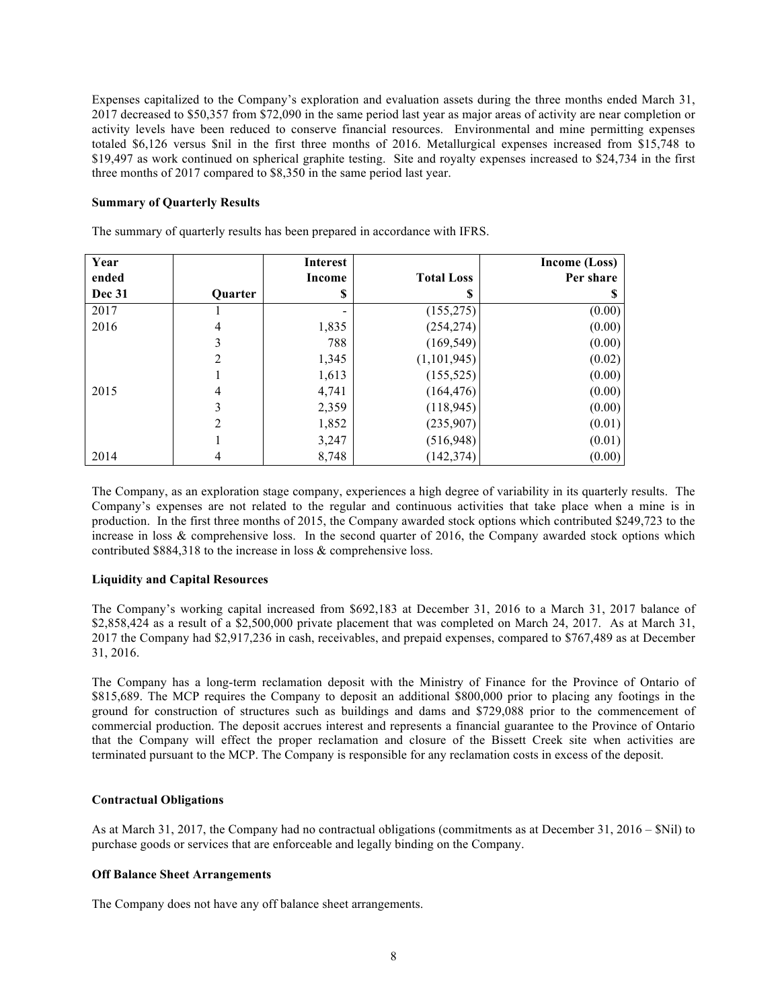Expenses capitalized to the Company's exploration and evaluation assets during the three months ended March 31, 2017 decreased to \$50,357 from \$72,090 in the same period last year as major areas of activity are near completion or activity levels have been reduced to conserve financial resources. Environmental and mine permitting expenses totaled \$6,126 versus \$nil in the first three months of 2016. Metallurgical expenses increased from \$15,748 to \$19,497 as work continued on spherical graphite testing. Site and royalty expenses increased to \$24,734 in the first three months of 2017 compared to \$8,350 in the same period last year.

### **Summary of Quarterly Results**

The summary of quarterly results has been prepared in accordance with IFRS.

| Year   |                | <b>Interest</b> |                   | Income (Loss) |
|--------|----------------|-----------------|-------------------|---------------|
| ended  |                | Income          | <b>Total Loss</b> | Per share     |
| Dec 31 | <b>Ouarter</b> | S               | S                 | Ъ             |
| 2017   |                |                 | (155, 275)        | (0.00)        |
| 2016   | 4              | 1,835           | (254, 274)        | (0.00)        |
|        | 3              | 788             | (169, 549)        | (0.00)        |
|        | 2              | 1,345           | (1, 101, 945)     | (0.02)        |
|        |                | 1,613           | (155, 525)        | (0.00)        |
| 2015   | 4              | 4,741           | (164, 476)        | (0.00)        |
|        | 3              | 2,359           | (118, 945)        | (0.00)        |
|        | $\overline{2}$ | 1,852           | (235,907)         | (0.01)        |
|        |                | 3,247           | (516, 948)        | (0.01)        |
| 2014   | 4              | 8,748           | (142, 374)        | (0.00)        |

The Company, as an exploration stage company, experiences a high degree of variability in its quarterly results. The Company's expenses are not related to the regular and continuous activities that take place when a mine is in production. In the first three months of 2015, the Company awarded stock options which contributed \$249,723 to the increase in loss & comprehensive loss. In the second quarter of 2016, the Company awarded stock options which contributed \$884,318 to the increase in loss & comprehensive loss.

### **Liquidity and Capital Resources**

The Company's working capital increased from \$692,183 at December 31, 2016 to a March 31, 2017 balance of \$2,858,424 as a result of a \$2,500,000 private placement that was completed on March 24, 2017. As at March 31, 2017 the Company had \$2,917,236 in cash, receivables, and prepaid expenses, compared to \$767,489 as at December 31, 2016.

The Company has a long-term reclamation deposit with the Ministry of Finance for the Province of Ontario of \$815,689. The MCP requires the Company to deposit an additional \$800,000 prior to placing any footings in the ground for construction of structures such as buildings and dams and \$729,088 prior to the commencement of commercial production. The deposit accrues interest and represents a financial guarantee to the Province of Ontario that the Company will effect the proper reclamation and closure of the Bissett Creek site when activities are terminated pursuant to the MCP. The Company is responsible for any reclamation costs in excess of the deposit.

### **Contractual Obligations**

As at March 31, 2017, the Company had no contractual obligations (commitments as at December 31, 2016 – \$Nil) to purchase goods or services that are enforceable and legally binding on the Company.

## **Off Balance Sheet Arrangements**

The Company does not have any off balance sheet arrangements.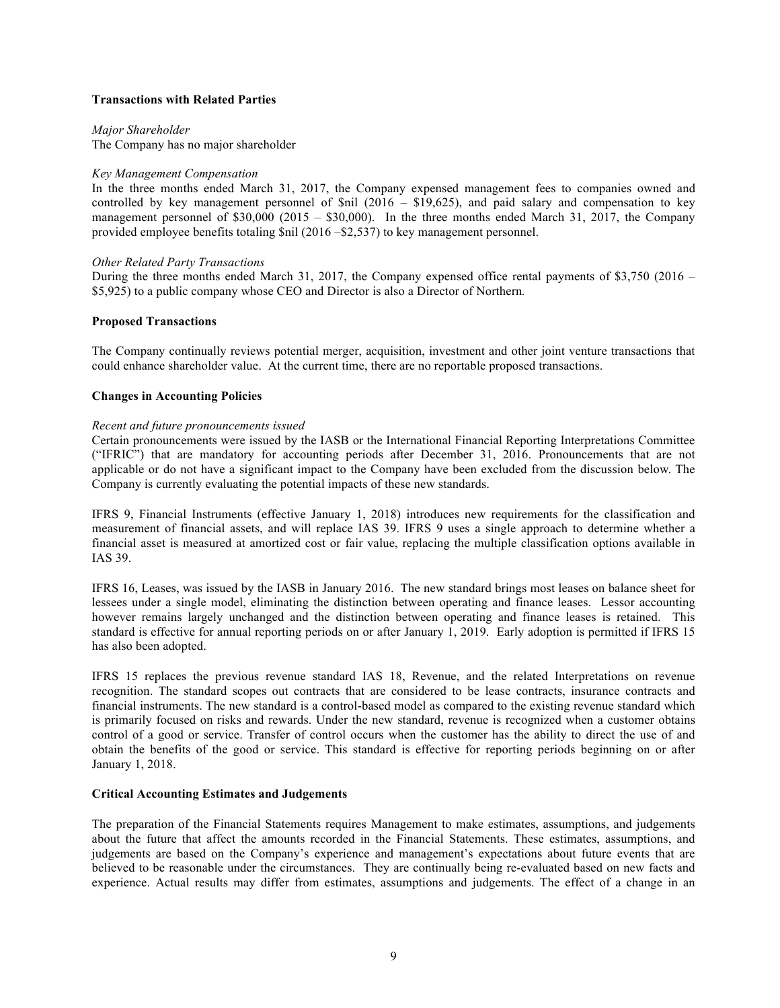### **Transactions with Related Parties**

*Major Shareholder* The Company has no major shareholder

### *Key Management Compensation*

In the three months ended March 31, 2017, the Company expensed management fees to companies owned and controlled by key management personnel of \$nil (2016 – \$19,625), and paid salary and compensation to key management personnel of \$30,000 (2015 – \$30,000). In the three months ended March 31, 2017, the Company provided employee benefits totaling \$nil (2016 –\$2,537) to key management personnel.

### *Other Related Party Transactions*

During the three months ended March 31, 2017, the Company expensed office rental payments of \$3,750 (2016 – \$5,925) to a public company whose CEO and Director is also a Director of Northern*.*

## **Proposed Transactions**

The Company continually reviews potential merger, acquisition, investment and other joint venture transactions that could enhance shareholder value. At the current time, there are no reportable proposed transactions.

## **Changes in Accounting Policies**

### *Recent and future pronouncements issued*

Certain pronouncements were issued by the IASB or the International Financial Reporting Interpretations Committee ("IFRIC") that are mandatory for accounting periods after December 31, 2016. Pronouncements that are not applicable or do not have a significant impact to the Company have been excluded from the discussion below. The Company is currently evaluating the potential impacts of these new standards.

IFRS 9, Financial Instruments (effective January 1, 2018) introduces new requirements for the classification and measurement of financial assets, and will replace IAS 39. IFRS 9 uses a single approach to determine whether a financial asset is measured at amortized cost or fair value, replacing the multiple classification options available in IAS 39.

IFRS 16, Leases, was issued by the IASB in January 2016. The new standard brings most leases on balance sheet for lessees under a single model, eliminating the distinction between operating and finance leases. Lessor accounting however remains largely unchanged and the distinction between operating and finance leases is retained. This standard is effective for annual reporting periods on or after January 1, 2019. Early adoption is permitted if IFRS 15 has also been adopted.

IFRS 15 replaces the previous revenue standard IAS 18, Revenue, and the related Interpretations on revenue recognition. The standard scopes out contracts that are considered to be lease contracts, insurance contracts and financial instruments. The new standard is a control-based model as compared to the existing revenue standard which is primarily focused on risks and rewards. Under the new standard, revenue is recognized when a customer obtains control of a good or service. Transfer of control occurs when the customer has the ability to direct the use of and obtain the benefits of the good or service. This standard is effective for reporting periods beginning on or after January 1, 2018.

# **Critical Accounting Estimates and Judgements**

The preparation of the Financial Statements requires Management to make estimates, assumptions, and judgements about the future that affect the amounts recorded in the Financial Statements. These estimates, assumptions, and judgements are based on the Company's experience and management's expectations about future events that are believed to be reasonable under the circumstances. They are continually being re-evaluated based on new facts and experience. Actual results may differ from estimates, assumptions and judgements. The effect of a change in an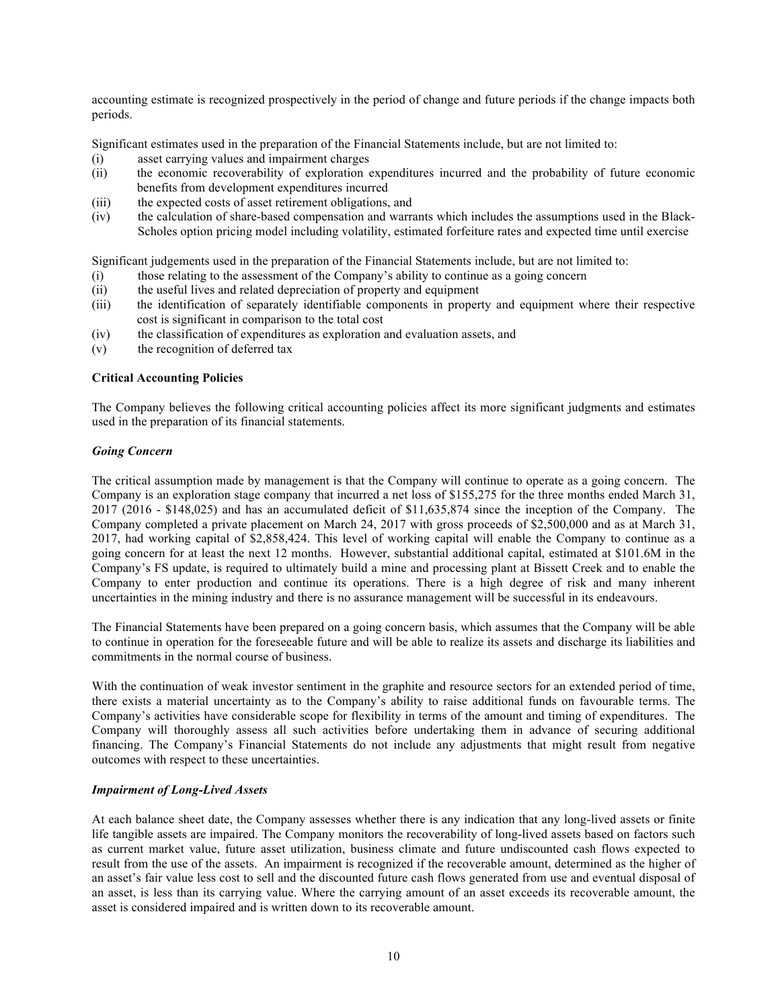accounting estimate is recognized prospectively in the period of change and future periods if the change impacts both periods.

Significant estimates used in the preparation of the Financial Statements include, but are not limited to:

- (i) asset carrying values and impairment charges
- (ii) the economic recoverability of exploration expenditures incurred and the probability of future economic benefits from development expenditures incurred
- (iii) the expected costs of asset retirement obligations, and
- (iv) the calculation of share-based compensation and warrants which includes the assumptions used in the Black-Scholes option pricing model including volatility, estimated forfeiture rates and expected time until exercise

Significant judgements used in the preparation of the Financial Statements include, but are not limited to:

- (i) those relating to the assessment of the Company's ability to continue as a going concern
- (ii) the useful lives and related depreciation of property and equipment
- (iii) the identification of separately identifiable components in property and equipment where their respective cost is significant in comparison to the total cost
- (iv) the classification of expenditures as exploration and evaluation assets, and
- (v) the recognition of deferred tax

### **Critical Accounting Policies**

The Company believes the following critical accounting policies affect its more significant judgments and estimates used in the preparation of its financial statements.

## *Going Concern*

The critical assumption made by management is that the Company will continue to operate as a going concern. The Company is an exploration stage company that incurred a net loss of \$155,275 for the three months ended March 31, 2017 (2016 - \$148,025) and has an accumulated deficit of \$11,635,874 since the inception of the Company. The Company completed a private placement on March 24, 2017 with gross proceeds of \$2,500,000 and as at March 31, 2017, had working capital of \$2,858,424. This level of working capital will enable the Company to continue as a going concern for at least the next 12 months. However, substantial additional capital, estimated at \$101.6M in the Company's FS update, is required to ultimately build a mine and processing plant at Bissett Creek and to enable the Company to enter production and continue its operations. There is a high degree of risk and many inherent uncertainties in the mining industry and there is no assurance management will be successful in its endeavours.

The Financial Statements have been prepared on a going concern basis, which assumes that the Company will be able to continue in operation for the foreseeable future and will be able to realize its assets and discharge its liabilities and commitments in the normal course of business.

With the continuation of weak investor sentiment in the graphite and resource sectors for an extended period of time, there exists a material uncertainty as to the Company's ability to raise additional funds on favourable terms. The Company's activities have considerable scope for flexibility in terms of the amount and timing of expenditures. The Company will thoroughly assess all such activities before undertaking them in advance of securing additional financing. The Company's Financial Statements do not include any adjustments that might result from negative outcomes with respect to these uncertainties.

# *Impairment of Long-Lived Assets*

At each balance sheet date, the Company assesses whether there is any indication that any long-lived assets or finite life tangible assets are impaired. The Company monitors the recoverability of long-lived assets based on factors such as current market value, future asset utilization, business climate and future undiscounted cash flows expected to result from the use of the assets. An impairment is recognized if the recoverable amount, determined as the higher of an asset's fair value less cost to sell and the discounted future cash flows generated from use and eventual disposal of an asset, is less than its carrying value. Where the carrying amount of an asset exceeds its recoverable amount, the asset is considered impaired and is written down to its recoverable amount.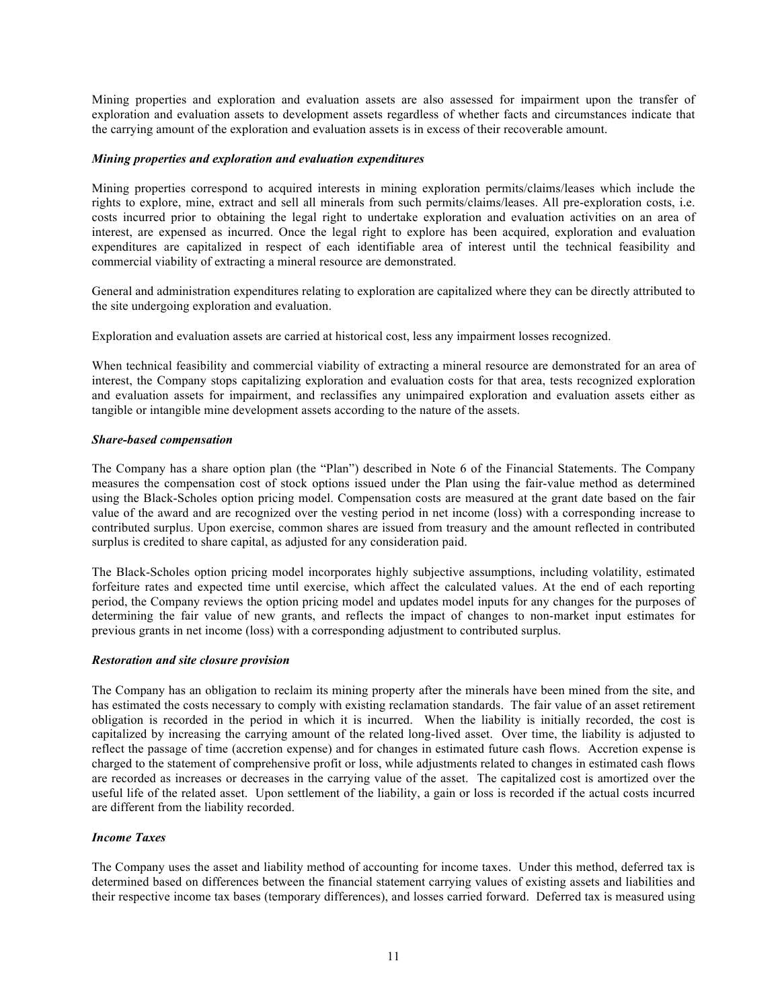Mining properties and exploration and evaluation assets are also assessed for impairment upon the transfer of exploration and evaluation assets to development assets regardless of whether facts and circumstances indicate that the carrying amount of the exploration and evaluation assets is in excess of their recoverable amount.

### *Mining properties and exploration and evaluation expenditures*

Mining properties correspond to acquired interests in mining exploration permits/claims/leases which include the rights to explore, mine, extract and sell all minerals from such permits/claims/leases. All pre-exploration costs, i.e. costs incurred prior to obtaining the legal right to undertake exploration and evaluation activities on an area of interest, are expensed as incurred. Once the legal right to explore has been acquired, exploration and evaluation expenditures are capitalized in respect of each identifiable area of interest until the technical feasibility and commercial viability of extracting a mineral resource are demonstrated.

General and administration expenditures relating to exploration are capitalized where they can be directly attributed to the site undergoing exploration and evaluation.

Exploration and evaluation assets are carried at historical cost, less any impairment losses recognized.

When technical feasibility and commercial viability of extracting a mineral resource are demonstrated for an area of interest, the Company stops capitalizing exploration and evaluation costs for that area, tests recognized exploration and evaluation assets for impairment, and reclassifies any unimpaired exploration and evaluation assets either as tangible or intangible mine development assets according to the nature of the assets.

#### *Share-based compensation*

The Company has a share option plan (the "Plan") described in Note 6 of the Financial Statements. The Company measures the compensation cost of stock options issued under the Plan using the fair-value method as determined using the Black-Scholes option pricing model. Compensation costs are measured at the grant date based on the fair value of the award and are recognized over the vesting period in net income (loss) with a corresponding increase to contributed surplus. Upon exercise, common shares are issued from treasury and the amount reflected in contributed surplus is credited to share capital, as adjusted for any consideration paid.

The Black-Scholes option pricing model incorporates highly subjective assumptions, including volatility, estimated forfeiture rates and expected time until exercise, which affect the calculated values. At the end of each reporting period, the Company reviews the option pricing model and updates model inputs for any changes for the purposes of determining the fair value of new grants, and reflects the impact of changes to non-market input estimates for previous grants in net income (loss) with a corresponding adjustment to contributed surplus.

#### *Restoration and site closure provision*

The Company has an obligation to reclaim its mining property after the minerals have been mined from the site, and has estimated the costs necessary to comply with existing reclamation standards. The fair value of an asset retirement obligation is recorded in the period in which it is incurred. When the liability is initially recorded, the cost is capitalized by increasing the carrying amount of the related long-lived asset. Over time, the liability is adjusted to reflect the passage of time (accretion expense) and for changes in estimated future cash flows. Accretion expense is charged to the statement of comprehensive profit or loss, while adjustments related to changes in estimated cash flows are recorded as increases or decreases in the carrying value of the asset. The capitalized cost is amortized over the useful life of the related asset. Upon settlement of the liability, a gain or loss is recorded if the actual costs incurred are different from the liability recorded.

### *Income Taxes*

The Company uses the asset and liability method of accounting for income taxes. Under this method, deferred tax is determined based on differences between the financial statement carrying values of existing assets and liabilities and their respective income tax bases (temporary differences), and losses carried forward. Deferred tax is measured using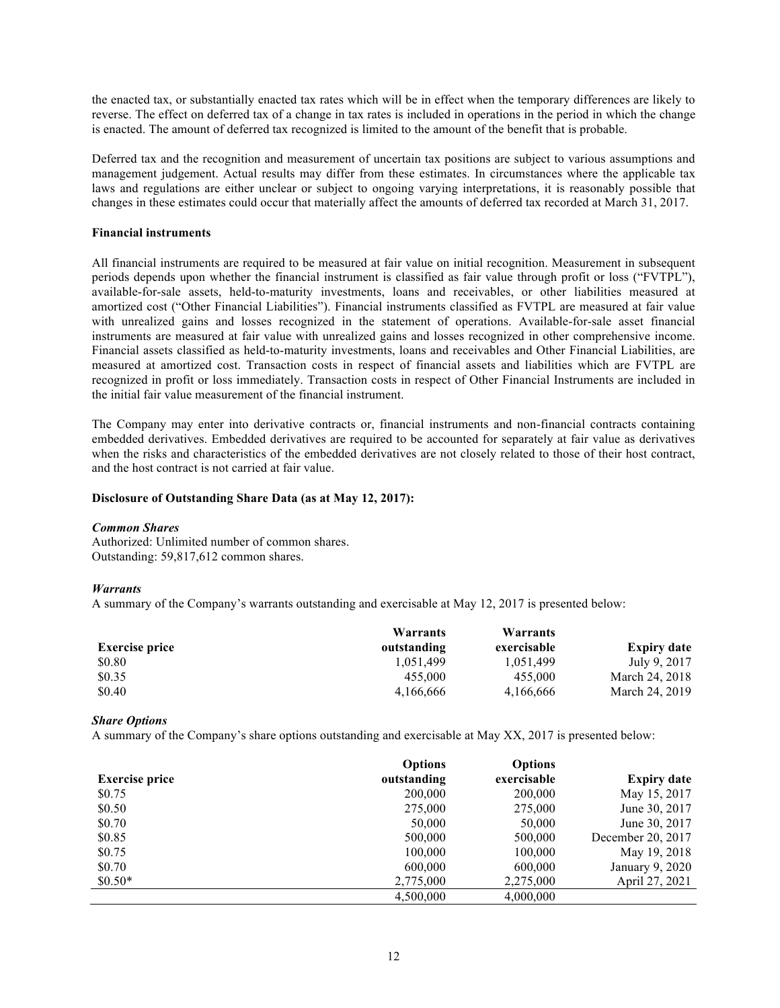the enacted tax, or substantially enacted tax rates which will be in effect when the temporary differences are likely to reverse. The effect on deferred tax of a change in tax rates is included in operations in the period in which the change is enacted. The amount of deferred tax recognized is limited to the amount of the benefit that is probable.

Deferred tax and the recognition and measurement of uncertain tax positions are subject to various assumptions and management judgement. Actual results may differ from these estimates. In circumstances where the applicable tax laws and regulations are either unclear or subject to ongoing varying interpretations, it is reasonably possible that changes in these estimates could occur that materially affect the amounts of deferred tax recorded at March 31, 2017.

### **Financial instruments**

All financial instruments are required to be measured at fair value on initial recognition. Measurement in subsequent periods depends upon whether the financial instrument is classified as fair value through profit or loss ("FVTPL"), available-for-sale assets, held-to-maturity investments, loans and receivables, or other liabilities measured at amortized cost ("Other Financial Liabilities"). Financial instruments classified as FVTPL are measured at fair value with unrealized gains and losses recognized in the statement of operations. Available-for-sale asset financial instruments are measured at fair value with unrealized gains and losses recognized in other comprehensive income. Financial assets classified as held-to-maturity investments, loans and receivables and Other Financial Liabilities, are measured at amortized cost. Transaction costs in respect of financial assets and liabilities which are FVTPL are recognized in profit or loss immediately. Transaction costs in respect of Other Financial Instruments are included in the initial fair value measurement of the financial instrument.

The Company may enter into derivative contracts or, financial instruments and non-financial contracts containing embedded derivatives. Embedded derivatives are required to be accounted for separately at fair value as derivatives when the risks and characteristics of the embedded derivatives are not closely related to those of their host contract, and the host contract is not carried at fair value.

## **Disclosure of Outstanding Share Data (as at May 12, 2017):**

### *Common Shares*

Authorized: Unlimited number of common shares. Outstanding: 59,817,612 common shares.

# *Warrants*

A summary of the Company's warrants outstanding and exercisable at May 12, 2017 is presented below:

|                       | Warrants    | Warrants    |                    |
|-----------------------|-------------|-------------|--------------------|
| <b>Exercise price</b> | outstanding | exercisable | <b>Expiry date</b> |
| \$0.80                | 1.051.499   | 1,051,499   | July 9, 2017       |
| \$0.35                | 455,000     | 455,000     | March 24, 2018     |
| \$0.40                | 4,166,666   | 4,166,666   | March 24, 2019     |

# *Share Options*

A summary of the Company's share options outstanding and exercisable at May XX, 2017 is presented below:

|                       | <b>Options</b> | <b>Options</b> |                    |
|-----------------------|----------------|----------------|--------------------|
| <b>Exercise price</b> | outstanding    | exercisable    | <b>Expiry date</b> |
| \$0.75                | 200,000        | 200,000        | May 15, 2017       |
| \$0.50                | 275,000        | 275,000        | June 30, 2017      |
| \$0.70                | 50,000         | 50,000         | June 30, 2017      |
| \$0.85                | 500,000        | 500,000        | December 20, 2017  |
| \$0.75                | 100,000        | 100,000        | May 19, 2018       |
| \$0.70                | 600,000        | 600,000        | January 9, 2020    |
| $$0.50*$              | 2,775,000      | 2,275,000      | April 27, 2021     |
|                       | 4,500,000      | 4,000,000      |                    |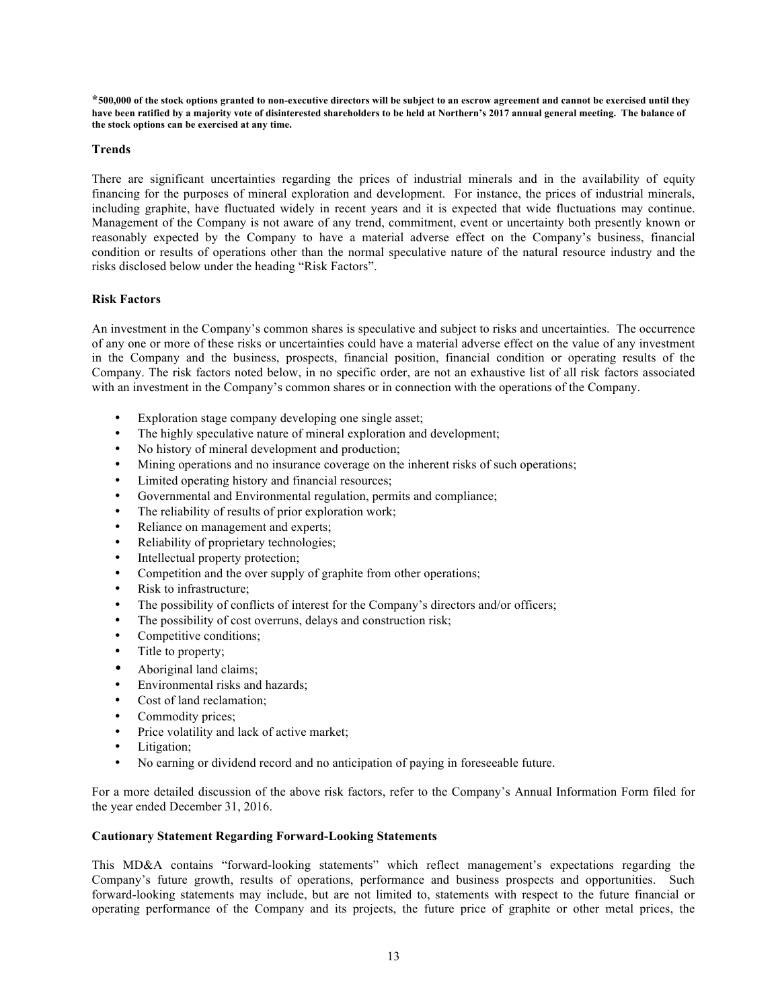**\*500,000 of the stock options granted to non-executive directors will be subject to an escrow agreement and cannot be exercised until they have been ratified by a majority vote of disinterested shareholders to be held at Northern's 2017 annual general meeting. The balance of the stock options can be exercised at any time.**

### **Trends**

There are significant uncertainties regarding the prices of industrial minerals and in the availability of equity financing for the purposes of mineral exploration and development. For instance, the prices of industrial minerals, including graphite, have fluctuated widely in recent years and it is expected that wide fluctuations may continue. Management of the Company is not aware of any trend, commitment, event or uncertainty both presently known or reasonably expected by the Company to have a material adverse effect on the Company's business, financial condition or results of operations other than the normal speculative nature of the natural resource industry and the risks disclosed below under the heading "Risk Factors".

# **Risk Factors**

An investment in the Company's common shares is speculative and subject to risks and uncertainties. The occurrence of any one or more of these risks or uncertainties could have a material adverse effect on the value of any investment in the Company and the business, prospects, financial position, financial condition or operating results of the Company. The risk factors noted below, in no specific order, are not an exhaustive list of all risk factors associated with an investment in the Company's common shares or in connection with the operations of the Company.

- Exploration stage company developing one single asset;
- The highly speculative nature of mineral exploration and development;
- No history of mineral development and production;
- Mining operations and no insurance coverage on the inherent risks of such operations;
- Limited operating history and financial resources;
- Governmental and Environmental regulation, permits and compliance;
- The reliability of results of prior exploration work;<br>• Reliance on management and experts:
- Reliance on management and experts;
- Reliability of proprietary technologies;
- Intellectual property protection;
- Competition and the over supply of graphite from other operations;
- Risk to infrastructure;
- The possibility of conflicts of interest for the Company's directors and/or officers;
- The possibility of cost overruns, delays and construction risk;
- Competitive conditions;
- Title to property;
- Aboriginal land claims;<br>• Environmental risks and
- Environmental risks and hazards;
- Cost of land reclamation;
- Commodity prices;
- Price volatility and lack of active market;
- Litigation;
- No earning or dividend record and no anticipation of paying in foreseeable future.

For a more detailed discussion of the above risk factors, refer to the Company's Annual Information Form filed for the year ended December 31, 2016.

### **Cautionary Statement Regarding Forward-Looking Statements**

This MD&A contains "forward-looking statements" which reflect management's expectations regarding the Company's future growth, results of operations, performance and business prospects and opportunities. Such forward-looking statements may include, but are not limited to, statements with respect to the future financial or operating performance of the Company and its projects, the future price of graphite or other metal prices, the